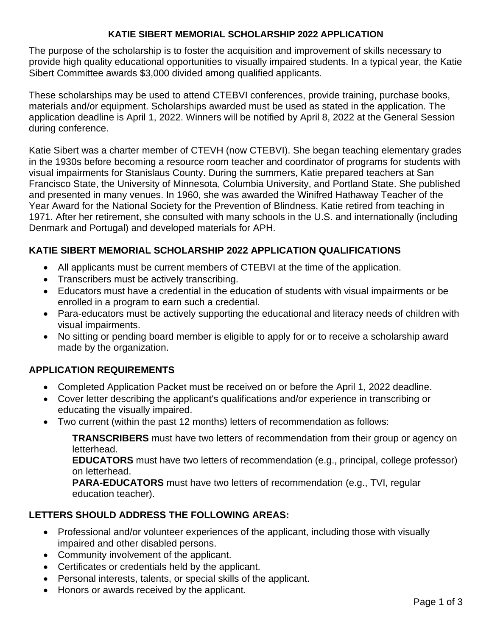### **KATIE SIBERT MEMORIAL SCHOLARSHIP 2022 APPLICATION**

The purpose of the scholarship is to foster the acquisition and improvement of skills necessary to provide high quality educational opportunities to visually impaired students. In a typical year, the Katie Sibert Committee awards \$3,000 divided among qualified applicants.

 application deadline is April 1, 2022. Winners will be notified by April 8, 2022 at the General Session These scholarships may be used to attend CTEBVI conferences, provide training, purchase books, materials and/or equipment. Scholarships awarded must be used as stated in the application. The during conference.

Katie Sibert was a charter member of CTEVH (now CTEBVI). She began teaching elementary grades in the 1930s before becoming a resource room teacher and coordinator of programs for students with visual impairments for Stanislaus County. During the summers, Katie prepared teachers at San Francisco State, the University of Minnesota, Columbia University, and Portland State. She published and presented in many venues. In 1960, she was awarded the Winifred Hathaway Teacher of the Year Award for the National Society for the Prevention of Blindness. Katie retired from teaching in 1971. After her retirement, she consulted with many schools in the U.S. and internationally (including Denmark and Portugal) and developed materials for APH.

## **KATIE SIBERT MEMORIAL SCHOLARSHIP 2022 APPLICATION QUALIFICATIONS**

- All applicants must be current members of CTEBVI at the time of the application.
- Transcribers must be actively transcribing.
- Educators must have a credential in the education of students with visual impairments or be enrolled in a program to earn such a credential.
- Para-educators must be actively supporting the educational and literacy needs of children with visual impairments.
- No sitting or pending board member is eligible to apply for or to receive a scholarship award made by the organization.

### **APPLICATION REQUIREMENTS**

- Completed Application Packet must be received on or before the April 1, 2022 deadline.
- Cover letter describing the applicant's qualifications and/or experience in transcribing or educating the visually impaired.
- Two current (within the past 12 months) letters of recommendation as follows:

**TRANSCRIBERS** must have two letters of recommendation from their group or agency on letterhead.

**EDUCATORS** must have two letters of recommendation (e.g., principal, college professor) on letterhead.

**PARA-EDUCATORS** must have two letters of recommendation (e.g., TVI, regular education teacher).

# **LETTERS SHOULD ADDRESS THE FOLLOWING AREAS:**

- Professional and/or volunteer experiences of the applicant, including those with visually impaired and other disabled persons.
- Community involvement of the applicant.
- • Certificates or credentials held by the applicant.
- Personal interests, talents, or special skills of the applicant.
- Honors or awards received by the applicant.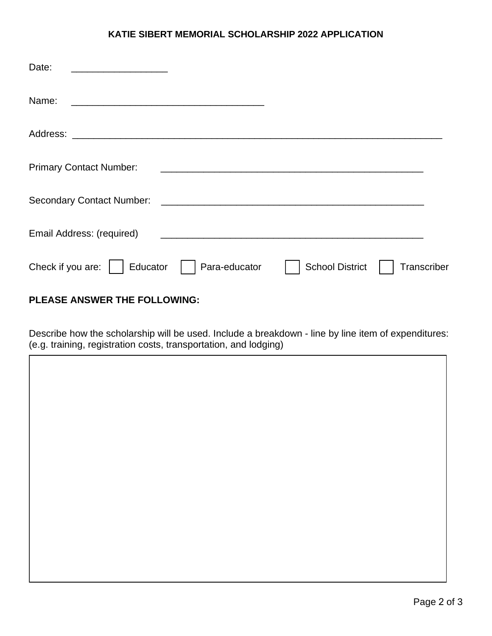#### **KATIE SIBERT MEMORIAL SCHOLARSHIP 2022 APPLICATION**

| Date:                            |                                                                                                                     |                        |             |
|----------------------------------|---------------------------------------------------------------------------------------------------------------------|------------------------|-------------|
| Name:                            |                                                                                                                     |                        |             |
|                                  |                                                                                                                     |                        |             |
| <b>Primary Contact Number:</b>   | <u> 1980 - Jan Samuel Barbara, margaret e popularista e popularista e popularista e popularista e popularista e</u> |                        |             |
| <b>Secondary Contact Number:</b> | <u> 1980 - Andrea Andrewski, politik američki profesor (d. 1980)</u>                                                |                        |             |
| Email Address: (required)        |                                                                                                                     |                        |             |
| Check if you are:<br>Educator    | Para-educator                                                                                                       | <b>School District</b> | Transcriber |

### **PLEASE ANSWER THE FOLLOWING:**

 Describe how the scholarship will be used. Include a breakdown - line by line item of expenditures: (e.g. training, registration costs, transportation, and lodging)